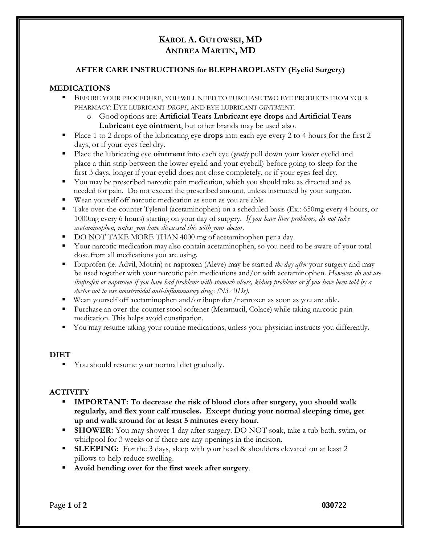# **KAROL A. GUTOWSKI, MD ANDREA MARTIN, MD**

## **AFTER CARE INSTRUCTIONS for BLEPHAROPLASTY (Eyelid Surgery)**

## **MEDICATIONS**

- **E** BEFORE YOUR PROCEDURE, YOU WILL NEED TO PURCHASE TWO EYE PRODUCTS FROM YOUR PHARMACY: EYE LUBRICANT *DROPS*, AND EYE LUBRICANT *OINTMENT*.
	- o Good options are: **Artificial Tears Lubricant eye drops** and **Artificial Tears Lubricant eye ointment**, but other brands may be used also.
- Place 1 to 2 drops of the lubricating eye **drops** into each eye every 2 to 4 hours for the first 2 days, or if your eyes feel dry.
- Place the lubricating eye **ointment** into each eye (*gently* pull down your lower eyelid and place a thin strip between the lower eyelid and your eyeball) before going to sleep for the first 3 days, longer if your eyelid does not close completely, or if your eyes feel dry.
- You may be prescribed narcotic pain medication, which you should take as directed and as needed for pain. Do not exceed the prescribed amount, unless instructed by your surgeon.
- Wean yourself off narcotic medication as soon as you are able.
- Take over-the-counter Tylenol (acetaminophen) on a scheduled basis (Ex.: 650mg every 4 hours, or 1000mg every 6 hours) starting on your day of surgery. *If you have liver problems, do not take acetaminophen, unless you have discussed this with your doctor.*
- DO NOT TAKE MORE THAN 4000 mg of acetaminophen per a day.
- Your narcotic medication may also contain acetaminophen, so you need to be aware of your total dose from all medications you are using.
- Ibuprofen (ie. Advil, Motrin) or naproxen (Aleve) may be started *the day after* your surgery and may be used together with your narcotic pain medications and/or with acetaminophen. *However, do not use ibuprofen or naproxen if you have had problems with stomach ulcers, kidney problems or if you have been told by a doctor not to use nonsteroidal anti-inflammatory drugs (NSAIDs).*
- $\bullet$  Wean yourself off acetaminophen and/or ibuprofen/naproxen as soon as you are able.
- Purchase an over-the-counter stool softener (Metamucil, Colace) while taking narcotic pain medication. This helps avoid constipation.
- You may resume taking your routine medications, unless your physician instructs you differently.

#### **DIET**

■ You should resume your normal diet gradually.

#### **ACTIVITY**

- **IMPORTANT: To decrease the risk of blood clots after surgery, you should walk regularly, and flex your calf muscles. Except during your normal sleeping time, get up and walk around for at least 5 minutes every hour.**
- **EXECUTER:** You may shower 1 day after surgery. DO NOT soak, take a tub bath, swim, or whirlpool for 3 weeks or if there are any openings in the incision.
- **EXEURICE:** For the 3 days, sleep with your head & shoulders elevated on at least 2 pillows to help reduce swelling.
- Avoid bending over for the first week after surgery.